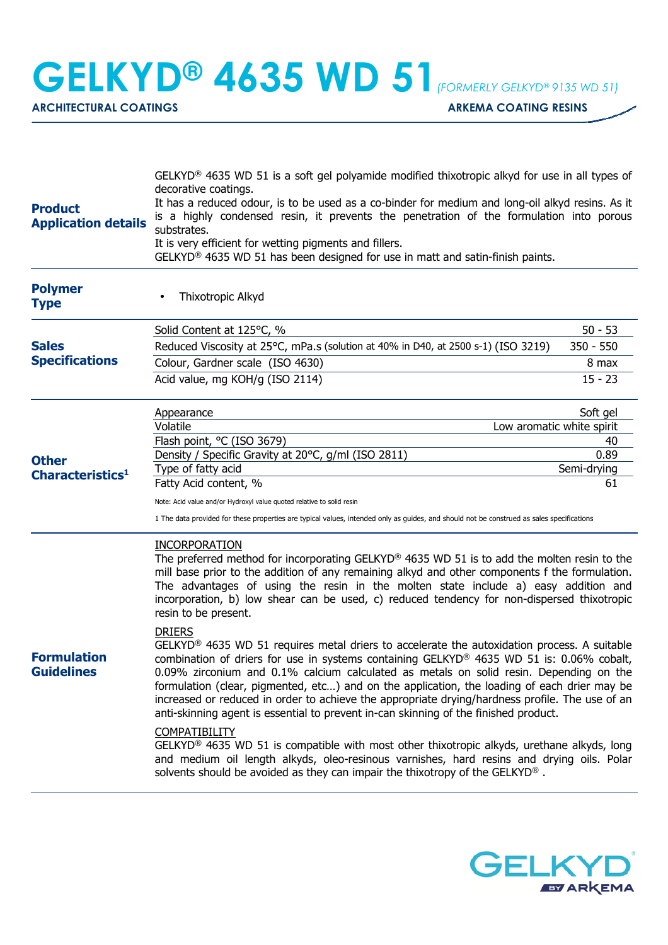**GELKYD® 4635 WD 51***(FORMERLY GELKYD® 9135 WD 51)*

ARCHITECTURAL COATINGS **ARKEMA COATING RESINS** 

| Thixotropic Alkyd<br>Solid Content at 125°C, %<br>Reduced Viscosity at 25°C, mPa.s (solution at 40% in D40, at 2500 s-1) (ISO 3219)<br>Colour, Gardner scale (ISO 4630)<br>Acid value, mg KOH/g (ISO 2114)<br>Appearance<br>Volatile<br>Flash point, °C (ISO 3679)<br>Density / Specific Gravity at 20°C, g/ml (ISO 2811)<br>Type of fatty acid                                                                                                                                                                                                                                                                                                                                                                                                                                                                                          | $50 - 53$<br>$350 - 550$<br>8 max<br>$15 - 23$<br>Soft gel<br>Low aromatic white spirit<br>40<br>0.89<br>Semi-drying |
|------------------------------------------------------------------------------------------------------------------------------------------------------------------------------------------------------------------------------------------------------------------------------------------------------------------------------------------------------------------------------------------------------------------------------------------------------------------------------------------------------------------------------------------------------------------------------------------------------------------------------------------------------------------------------------------------------------------------------------------------------------------------------------------------------------------------------------------|----------------------------------------------------------------------------------------------------------------------|
|                                                                                                                                                                                                                                                                                                                                                                                                                                                                                                                                                                                                                                                                                                                                                                                                                                          |                                                                                                                      |
|                                                                                                                                                                                                                                                                                                                                                                                                                                                                                                                                                                                                                                                                                                                                                                                                                                          |                                                                                                                      |
|                                                                                                                                                                                                                                                                                                                                                                                                                                                                                                                                                                                                                                                                                                                                                                                                                                          |                                                                                                                      |
|                                                                                                                                                                                                                                                                                                                                                                                                                                                                                                                                                                                                                                                                                                                                                                                                                                          |                                                                                                                      |
|                                                                                                                                                                                                                                                                                                                                                                                                                                                                                                                                                                                                                                                                                                                                                                                                                                          |                                                                                                                      |
|                                                                                                                                                                                                                                                                                                                                                                                                                                                                                                                                                                                                                                                                                                                                                                                                                                          |                                                                                                                      |
|                                                                                                                                                                                                                                                                                                                                                                                                                                                                                                                                                                                                                                                                                                                                                                                                                                          |                                                                                                                      |
|                                                                                                                                                                                                                                                                                                                                                                                                                                                                                                                                                                                                                                                                                                                                                                                                                                          |                                                                                                                      |
|                                                                                                                                                                                                                                                                                                                                                                                                                                                                                                                                                                                                                                                                                                                                                                                                                                          |                                                                                                                      |
| Fatty Acid content, %                                                                                                                                                                                                                                                                                                                                                                                                                                                                                                                                                                                                                                                                                                                                                                                                                    | 61                                                                                                                   |
| Note: Acid value and/or Hydroxyl value quoted relative to solid resin                                                                                                                                                                                                                                                                                                                                                                                                                                                                                                                                                                                                                                                                                                                                                                    |                                                                                                                      |
| 1 The data provided for these properties are typical values, intended only as guides, and should not be construed as sales specifications                                                                                                                                                                                                                                                                                                                                                                                                                                                                                                                                                                                                                                                                                                |                                                                                                                      |
| <b>INCORPORATION</b><br>The preferred method for incorporating GELKYD <sup>®</sup> 4635 WD 51 is to add the molten resin to the<br>mill base prior to the addition of any remaining alkyd and other components f the formulation.<br>The advantages of using the resin in the molten state include a) easy addition and<br>incorporation, b) low shear can be used, c) reduced tendency for non-dispersed thixotropic<br>resin to be present.                                                                                                                                                                                                                                                                                                                                                                                            |                                                                                                                      |
| <b>DRIERS</b><br>GELKYD <sup>®</sup> 4635 WD 51 requires metal driers to accelerate the autoxidation process. A suitable<br>combination of driers for use in systems containing GELKYD® 4635 WD 51 is: 0.06% cobalt,<br>0.09% zirconium and 0.1% calcium calculated as metals on solid resin. Depending on the<br>formulation (clear, pigmented, etc) and on the application, the loading of each drier may be<br>increased or reduced in order to achieve the appropriate drying/hardness profile. The use of an<br>anti-skinning agent is essential to prevent in-can skinning of the finished product.<br><b>COMPATIBILITY</b><br>GELKYD <sup>®</sup> 4635 WD 51 is compatible with most other thixotropic alkyds, urethane alkyds, long<br>and medium oil length alkyds, oleo-resinous varnishes, hard resins and drying oils. Polar |                                                                                                                      |
|                                                                                                                                                                                                                                                                                                                                                                                                                                                                                                                                                                                                                                                                                                                                                                                                                                          | solvents should be avoided as they can impair the thixotropy of the GELKYD <sup>®</sup> .                            |